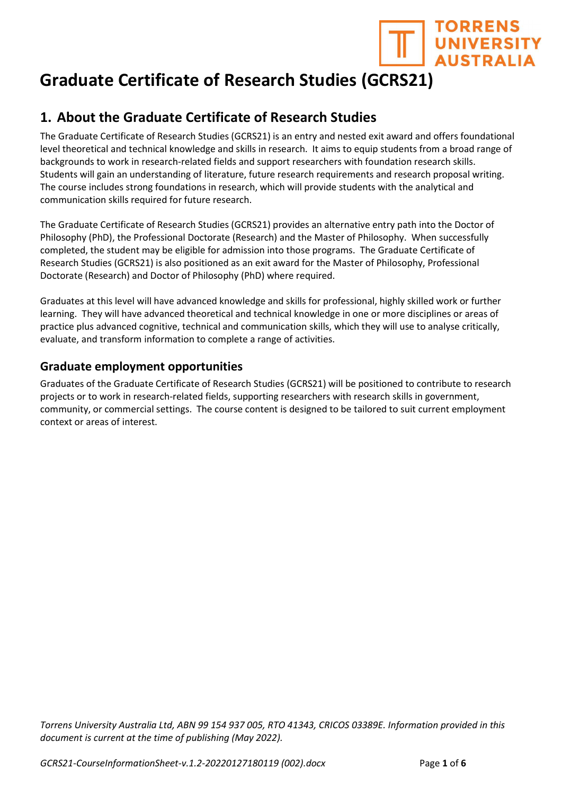

# Graduate Certificate of Research Studies (GCRS21)

# 1. About the Graduate Certificate of Research Studies

The Graduate Certificate of Research Studies (GCRS21) is an entry and nested exit award and offers foundational level theoretical and technical knowledge and skills in research. It aims to equip students from a broad range of backgrounds to work in research-related fields and support researchers with foundation research skills. Students will gain an understanding of literature, future research requirements and research proposal writing. The course includes strong foundations in research, which will provide students with the analytical and communication skills required for future research.

The Graduate Certificate of Research Studies (GCRS21) provides an alternative entry path into the Doctor of Philosophy (PhD), the Professional Doctorate (Research) and the Master of Philosophy. When successfully completed, the student may be eligible for admission into those programs. The Graduate Certificate of Research Studies (GCRS21) is also positioned as an exit award for the Master of Philosophy, Professional Doctorate (Research) and Doctor of Philosophy (PhD) where required.

Graduates at this level will have advanced knowledge and skills for professional, highly skilled work or further learning. They will have advanced theoretical and technical knowledge in one or more disciplines or areas of practice plus advanced cognitive, technical and communication skills, which they will use to analyse critically, evaluate, and transform information to complete a range of activities.

### Graduate employment opportunities

Graduates of the Graduate Certificate of Research Studies (GCRS21) will be positioned to contribute to research projects or to work in research-related fields, supporting researchers with research skills in government, community, or commercial settings. The course content is designed to be tailored to suit current employment context or areas of interest.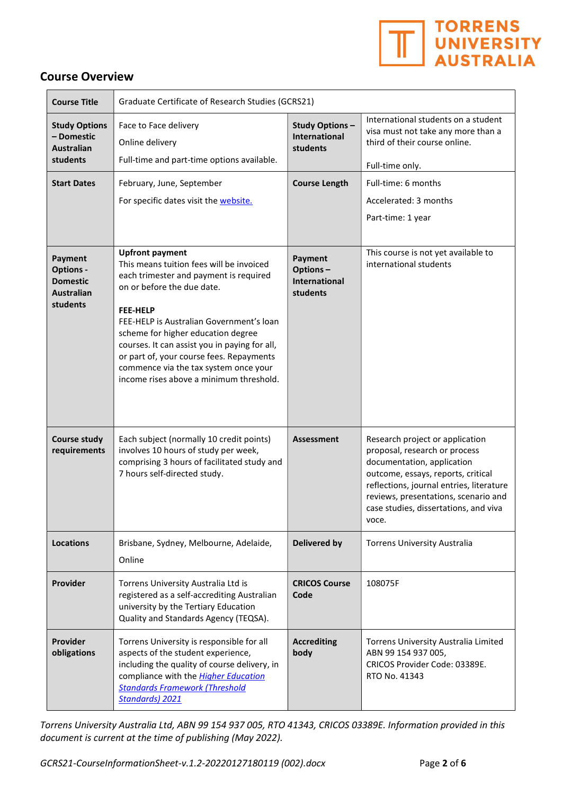

#### Course Overview

| <b>Course Title</b>                                                             | Graduate Certificate of Research Studies (GCRS21)                                                                                                                                                                                                                                                                                                                                                                                |                                                         |                                                                                                                                                                                                                                                                            |
|---------------------------------------------------------------------------------|----------------------------------------------------------------------------------------------------------------------------------------------------------------------------------------------------------------------------------------------------------------------------------------------------------------------------------------------------------------------------------------------------------------------------------|---------------------------------------------------------|----------------------------------------------------------------------------------------------------------------------------------------------------------------------------------------------------------------------------------------------------------------------------|
| <b>Study Options</b><br>- Domestic<br><b>Australian</b><br>students             | Face to Face delivery<br>Online delivery<br>Full-time and part-time options available.                                                                                                                                                                                                                                                                                                                                           | <b>Study Options-</b><br>International<br>students      | International students on a student<br>visa must not take any more than a<br>third of their course online.<br>Full-time only.                                                                                                                                              |
| <b>Start Dates</b>                                                              | February, June, September<br>For specific dates visit the website.                                                                                                                                                                                                                                                                                                                                                               | <b>Course Length</b>                                    | Full-time: 6 months<br>Accelerated: 3 months<br>Part-time: 1 year                                                                                                                                                                                                          |
| Payment<br><b>Options -</b><br><b>Domestic</b><br><b>Australian</b><br>students | <b>Upfront payment</b><br>This means tuition fees will be invoiced<br>each trimester and payment is required<br>on or before the due date.<br><b>FEE-HELP</b><br>FEE-HELP is Australian Government's loan<br>scheme for higher education degree<br>courses. It can assist you in paying for all,<br>or part of, your course fees. Repayments<br>commence via the tax system once your<br>income rises above a minimum threshold. | Payment<br>Options-<br><b>International</b><br>students | This course is not yet available to<br>international students                                                                                                                                                                                                              |
| <b>Course study</b><br>requirements                                             | Each subject (normally 10 credit points)<br>involves 10 hours of study per week,<br>comprising 3 hours of facilitated study and<br>7 hours self-directed study.                                                                                                                                                                                                                                                                  | <b>Assessment</b>                                       | Research project or application<br>proposal, research or process<br>documentation, application<br>outcome, essays, reports, critical<br>reflections, journal entries, literature<br>reviews, presentations, scenario and<br>case studies, dissertations, and viva<br>voce. |
| <b>Locations</b>                                                                | Brisbane, Sydney, Melbourne, Adelaide,<br>Online                                                                                                                                                                                                                                                                                                                                                                                 | <b>Delivered by</b>                                     | <b>Torrens University Australia</b>                                                                                                                                                                                                                                        |
| Provider                                                                        | Torrens University Australia Ltd is<br>registered as a self-accrediting Australian<br>university by the Tertiary Education<br>Quality and Standards Agency (TEQSA).                                                                                                                                                                                                                                                              | <b>CRICOS Course</b><br>Code                            | 108075F                                                                                                                                                                                                                                                                    |
| Provider<br>obligations                                                         | Torrens University is responsible for all<br>aspects of the student experience,<br>including the quality of course delivery, in<br>compliance with the Higher Education<br><b>Standards Framework (Threshold</b><br>Standards) 2021                                                                                                                                                                                              | <b>Accrediting</b><br>body                              | Torrens University Australia Limited<br>ABN 99 154 937 005,<br>CRICOS Provider Code: 03389E.<br>RTO No. 41343                                                                                                                                                              |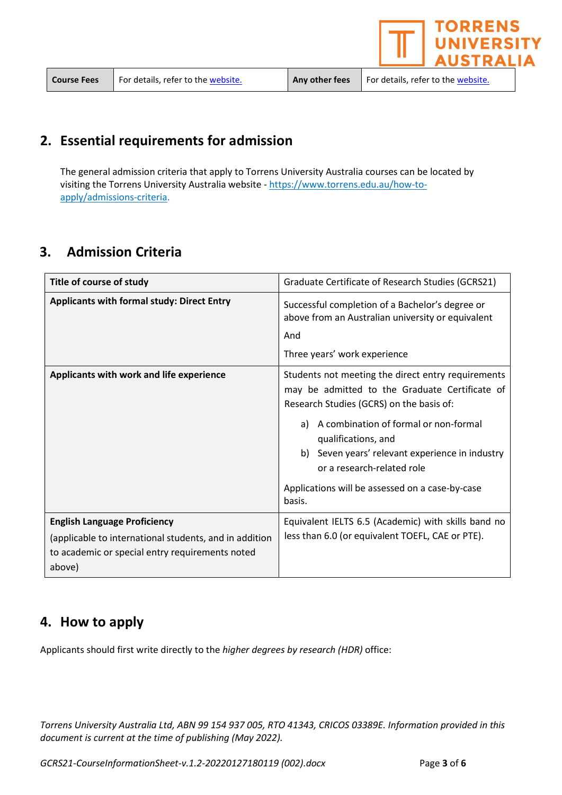the website.  $\blacksquare$  Any other fees  $\blacksquare$  For details, refer to the website.

**TORRENS** 

**JIVERSIT USTRALIA** 

# 2. Essential requirements for admission

The general admission criteria that apply to Torrens University Australia courses can be located by visiting the Torrens University Australia website - https://www.torrens.edu.au/how-toapply/admissions-criteria.

# 3. Admission Criteria

| Title of course of study                                                                                                                                   | Graduate Certificate of Research Studies (GCRS21)                                                                                                                                                                                                                                                                                                                       |  |
|------------------------------------------------------------------------------------------------------------------------------------------------------------|-------------------------------------------------------------------------------------------------------------------------------------------------------------------------------------------------------------------------------------------------------------------------------------------------------------------------------------------------------------------------|--|
| <b>Applicants with formal study: Direct Entry</b>                                                                                                          | Successful completion of a Bachelor's degree or<br>above from an Australian university or equivalent<br>And<br>Three years' work experience                                                                                                                                                                                                                             |  |
| Applicants with work and life experience                                                                                                                   | Students not meeting the direct entry requirements<br>may be admitted to the Graduate Certificate of<br>Research Studies (GCRS) on the basis of:<br>A combination of formal or non-formal<br>a)<br>qualifications, and<br>Seven years' relevant experience in industry<br>b)<br>or a research-related role<br>Applications will be assessed on a case-by-case<br>basis. |  |
| <b>English Language Proficiency</b><br>(applicable to international students, and in addition<br>to academic or special entry requirements noted<br>above) | Equivalent IELTS 6.5 (Academic) with skills band no<br>less than 6.0 (or equivalent TOEFL, CAE or PTE).                                                                                                                                                                                                                                                                 |  |

### 4. How to apply

Applicants should first write directly to the higher degrees by research (HDR) office: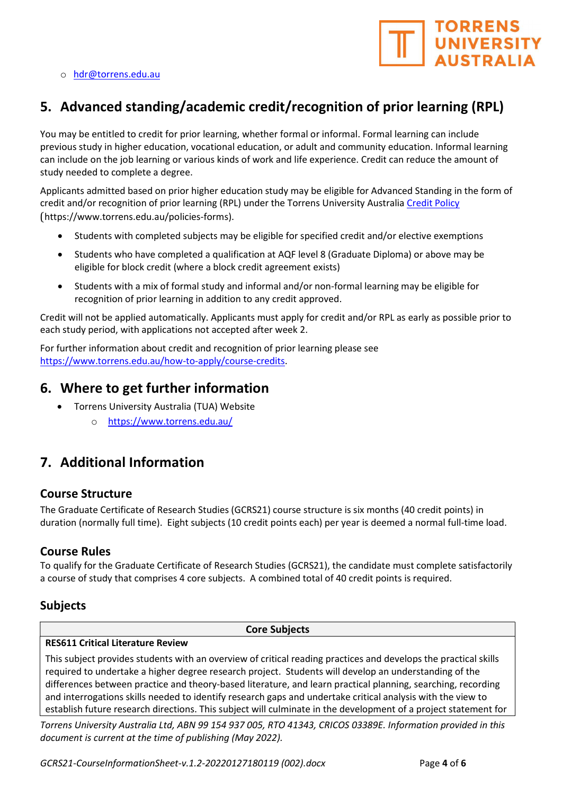



# 5. Advanced standing/academic credit/recognition of prior learning (RPL)

You may be entitled to credit for prior learning, whether formal or informal. Formal learning can include previous study in higher education, vocational education, or adult and community education. Informal learning can include on the job learning or various kinds of work and life experience. Credit can reduce the amount of study needed to complete a degree.

Applicants admitted based on prior higher education study may be eligible for Advanced Standing in the form of credit and/or recognition of prior learning (RPL) under the Torrens University Australia Credit Policy (https://www.torrens.edu.au/policies-forms).

- Students with completed subjects may be eligible for specified credit and/or elective exemptions
- Students who have completed a qualification at AQF level 8 (Graduate Diploma) or above may be eligible for block credit (where a block credit agreement exists)
- Students with a mix of formal study and informal and/or non-formal learning may be eligible for recognition of prior learning in addition to any credit approved.

Credit will not be applied automatically. Applicants must apply for credit and/or RPL as early as possible prior to each study period, with applications not accepted after week 2.

For further information about credit and recognition of prior learning please see https://www.torrens.edu.au/how-to-apply/course-credits.

### 6. Where to get further information

- Torrens University Australia (TUA) Website
	- o https://www.torrens.edu.au/

### 7. Additional Information

#### Course Structure

The Graduate Certificate of Research Studies (GCRS21) course structure is six months (40 credit points) in duration (normally full time). Eight subjects (10 credit points each) per year is deemed a normal full-time load.

#### Course Rules

To qualify for the Graduate Certificate of Research Studies (GCRS21), the candidate must complete satisfactorily a course of study that comprises 4 core subjects. A combined total of 40 credit points is required.

### Subjects

Core Subjects

#### RES611 Critical Literature Review

This subject provides students with an overview of critical reading practices and develops the practical skills required to undertake a higher degree research project. Students will develop an understanding of the differences between practice and theory-based literature, and learn practical planning, searching, recording and interrogations skills needed to identify research gaps and undertake critical analysis with the view to establish future research directions. This subject will culminate in the development of a project statement for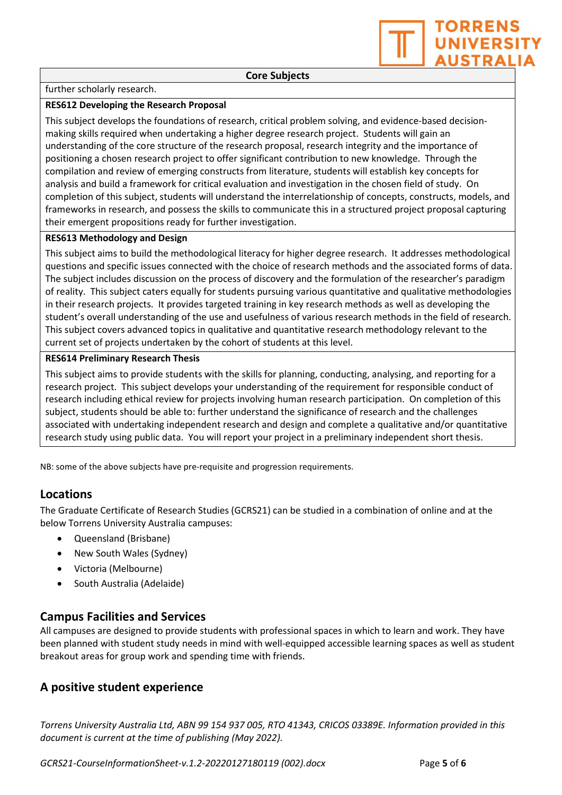further scholarly research.

#### RES612 Developing the Research Proposal

This subject develops the foundations of research, critical problem solving, and evidence-based decisionmaking skills required when undertaking a higher degree research project. Students will gain an understanding of the core structure of the research proposal, research integrity and the importance of positioning a chosen research project to offer significant contribution to new knowledge. Through the compilation and review of emerging constructs from literature, students will establish key concepts for analysis and build a framework for critical evaluation and investigation in the chosen field of study. On completion of this subject, students will understand the interrelationship of concepts, constructs, models, and frameworks in research, and possess the skills to communicate this in a structured project proposal capturing their emergent propositions ready for further investigation.

#### RES613 Methodology and Design

This subject aims to build the methodological literacy for higher degree research. It addresses methodological questions and specific issues connected with the choice of research methods and the associated forms of data. The subject includes discussion on the process of discovery and the formulation of the researcher's paradigm of reality. This subject caters equally for students pursuing various quantitative and qualitative methodologies in their research projects. It provides targeted training in key research methods as well as developing the student's overall understanding of the use and usefulness of various research methods in the field of research. This subject covers advanced topics in qualitative and quantitative research methodology relevant to the current set of projects undertaken by the cohort of students at this level.

#### RES614 Preliminary Research Thesis

This subject aims to provide students with the skills for planning, conducting, analysing, and reporting for a research project. This subject develops your understanding of the requirement for responsible conduct of research including ethical review for projects involving human research participation. On completion of this subject, students should be able to: further understand the significance of research and the challenges associated with undertaking independent research and design and complete a qualitative and/or quantitative research study using public data. You will report your project in a preliminary independent short thesis.

NB: some of the above subjects have pre-requisite and progression requirements.

### Locations

The Graduate Certificate of Research Studies (GCRS21) can be studied in a combination of online and at the below Torrens University Australia campuses:

- Queensland (Brisbane)
- New South Wales (Sydney)
- Victoria (Melbourne)
- South Australia (Adelaide)

#### Campus Facilities and Services

All campuses are designed to provide students with professional spaces in which to learn and work. They have been planned with student study needs in mind with well-equipped accessible learning spaces as well as student breakout areas for group work and spending time with friends.

### A positive student experience

Torrens University Australia Ltd, ABN 99 154 937 005, RTO 41343, CRICOS 03389E. Information provided in this document is current at the time of publishing (May 2022).

GCRS21-CourseInformationSheet-v.1.2-20220127180119 (002).docx Page 5 of 6

**TORRENS** 

**UNIVERSITY AUSTRALIA**